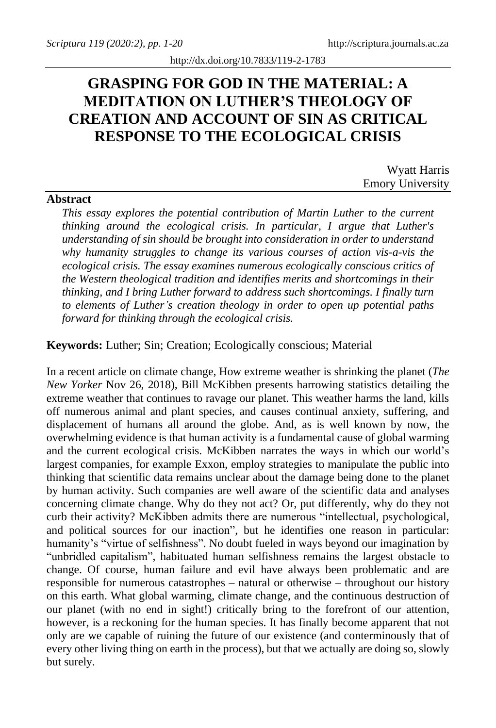# **GRASPING FOR GOD IN THE MATERIAL: A MEDITATION ON LUTHER'S THEOLOGY OF CREATION AND ACCOUNT OF SIN AS CRITICAL RESPONSE TO THE ECOLOGICAL CRISIS**

Wyatt Harris Emory University

# **Abstract**

*This essay explores the potential contribution of Martin Luther to the current thinking around the ecological crisis. In particular, I argue that Luther's understanding of sin should be brought into consideration in order to understand why humanity struggles to change its various courses of action vis-a-vis the ecological crisis. The essay examines numerous ecologically conscious critics of the Western theological tradition and identifies merits and shortcomings in their thinking, and I bring Luther forward to address such shortcomings. I finally turn to elements of Luther's creation theology in order to open up potential paths forward for thinking through the ecological crisis.*

### **Keywords:** Luther; Sin; Creation; Ecologically conscious; Material

In a recent article on climate change, How extreme weather is shrinking the planet (*The New Yorker* Nov 26, 2018), Bill McKibben presents harrowing statistics detailing the extreme weather that continues to ravage our planet. This weather harms the land, kills off numerous animal and plant species, and causes continual anxiety, suffering, and displacement of humans all around the globe. And, as is well known by now, the overwhelming evidence is that human activity is a fundamental cause of global warming and the current ecological crisis. McKibben narrates the ways in which our world's largest companies, for example Exxon, employ strategies to manipulate the public into thinking that scientific data remains unclear about the damage being done to the planet by human activity. Such companies are well aware of the scientific data and analyses concerning climate change. Why do they not act? Or, put differently, why do they not curb their activity? McKibben admits there are numerous "intellectual, psychological, and political sources for our inaction", but he identifies one reason in particular: humanity's "virtue of selfishness". No doubt fueled in ways beyond our imagination by "unbridled capitalism", habituated human selfishness remains the largest obstacle to change. Of course, human failure and evil have always been problematic and are responsible for numerous catastrophes – natural or otherwise – throughout our history on this earth. What global warming, climate change, and the continuous destruction of our planet (with no end in sight!) critically bring to the forefront of our attention, however, is a reckoning for the human species. It has finally become apparent that not only are we capable of ruining the future of our existence (and conterminously that of every other living thing on earth in the process), but that we actually are doing so, slowly but surely.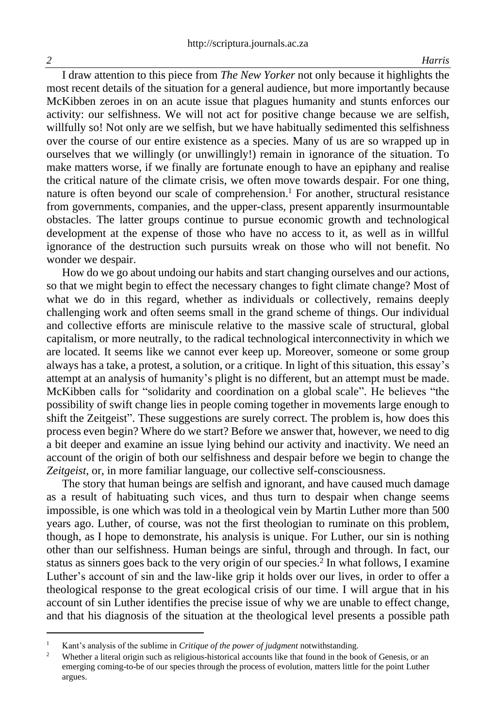I draw attention to this piece from *The New Yorker* not only because it highlights the most recent details of the situation for a general audience, but more importantly because McKibben zeroes in on an acute issue that plagues humanity and stunts enforces our activity: our selfishness. We will not act for positive change because we are selfish, willfully so! Not only are we selfish, but we have habitually sedimented this selfishness over the course of our entire existence as a species. Many of us are so wrapped up in ourselves that we willingly (or unwillingly!) remain in ignorance of the situation. To make matters worse, if we finally are fortunate enough to have an epiphany and realise the critical nature of the climate crisis, we often move towards despair. For one thing, nature is often beyond our scale of comprehension. <sup>1</sup> For another, structural resistance from governments, companies, and the upper-class, present apparently insurmountable obstacles. The latter groups continue to pursue economic growth and technological development at the expense of those who have no access to it, as well as in willful ignorance of the destruction such pursuits wreak on those who will not benefit. No wonder we despair.

How do we go about undoing our habits and start changing ourselves and our actions, so that we might begin to effect the necessary changes to fight climate change? Most of what we do in this regard, whether as individuals or collectively, remains deeply challenging work and often seems small in the grand scheme of things. Our individual and collective efforts are miniscule relative to the massive scale of structural, global capitalism, or more neutrally, to the radical technological interconnectivity in which we are located. It seems like we cannot ever keep up. Moreover, someone or some group always has a take, a protest, a solution, or a critique. In light of this situation, this essay's attempt at an analysis of humanity's plight is no different, but an attempt must be made. McKibben calls for "solidarity and coordination on a global scale". He believes "the possibility of swift change lies in people coming together in movements large enough to shift the Zeitgeist". These suggestions are surely correct. The problem is, how does this process even begin? Where do we start? Before we answer that, however, we need to dig a bit deeper and examine an issue lying behind our activity and inactivity. We need an account of the origin of both our selfishness and despair before we begin to change the *Zeitgeist*, or, in more familiar language, our collective self-consciousness.

The story that human beings are selfish and ignorant, and have caused much damage as a result of habituating such vices, and thus turn to despair when change seems impossible, is one which was told in a theological vein by Martin Luther more than 500 years ago. Luther, of course, was not the first theologian to ruminate on this problem, though, as I hope to demonstrate, his analysis is unique. For Luther, our sin is nothing other than our selfishness. Human beings are sinful, through and through. In fact, our status as sinners goes back to the very origin of our species. 2 In what follows, I examine Luther's account of sin and the law-like grip it holds over our lives, in order to offer a theological response to the great ecological crisis of our time. I will argue that in his account of sin Luther identifies the precise issue of why we are unable to effect change, and that his diagnosis of the situation at the theological level presents a possible path

<sup>&</sup>lt;sup>1</sup> Kant's analysis of the sublime in *Critique of the power of judgment* notwithstanding.

<sup>&</sup>lt;sup>2</sup> Whether a literal origin such as religious-historical accounts like that found in the book of Genesis, or an emerging coming-to-be of our species through the process of evolution, matters little for the point Luther argues.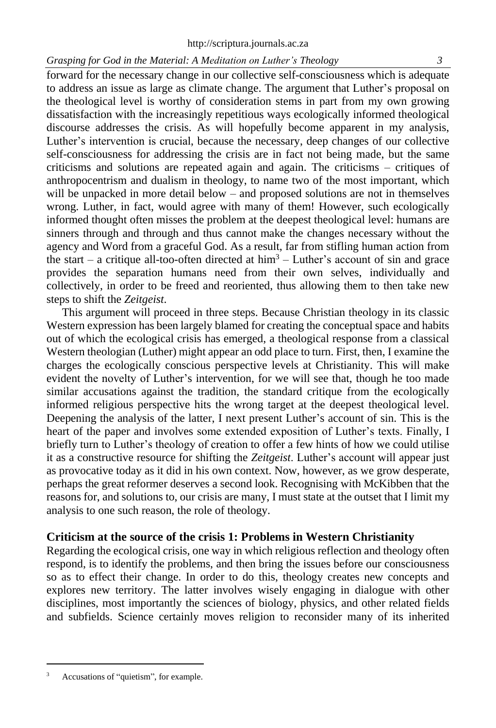forward for the necessary change in our collective self-consciousness which is adequate to address an issue as large as climate change. The argument that Luther's proposal on the theological level is worthy of consideration stems in part from my own growing dissatisfaction with the increasingly repetitious ways ecologically informed theological discourse addresses the crisis. As will hopefully become apparent in my analysis, Luther's intervention is crucial, because the necessary, deep changes of our collective self-consciousness for addressing the crisis are in fact not being made, but the same criticisms and solutions are repeated again and again. The criticisms – critiques of anthropocentrism and dualism in theology, to name two of the most important, which will be unpacked in more detail below – and proposed solutions are not in themselves wrong. Luther, in fact, would agree with many of them! However, such ecologically informed thought often misses the problem at the deepest theological level: humans are sinners through and through and thus cannot make the changes necessary without the agency and Word from a graceful God. As a result, far from stifling human action from the start – a critique all-too-often directed at  $\lim_{h \to 0} 3 -$  Luther's account of sin and grace provides the separation humans need from their own selves, individually and collectively, in order to be freed and reoriented, thus allowing them to then take new steps to shift the *Zeitgeist*.

This argument will proceed in three steps. Because Christian theology in its classic Western expression has been largely blamed for creating the conceptual space and habits out of which the ecological crisis has emerged, a theological response from a classical Western theologian (Luther) might appear an odd place to turn. First, then, I examine the charges the ecologically conscious perspective levels at Christianity. This will make evident the novelty of Luther's intervention, for we will see that, though he too made similar accusations against the tradition, the standard critique from the ecologically informed religious perspective hits the wrong target at the deepest theological level. Deepening the analysis of the latter, I next present Luther's account of sin. This is the heart of the paper and involves some extended exposition of Luther's texts. Finally, I briefly turn to Luther's theology of creation to offer a few hints of how we could utilise it as a constructive resource for shifting the *Zeitgeist*. Luther's account will appear just as provocative today as it did in his own context. Now, however, as we grow desperate, perhaps the great reformer deserves a second look. Recognising with McKibben that the reasons for, and solutions to, our crisis are many, I must state at the outset that I limit my analysis to one such reason, the role of theology.

# **Criticism at the source of the crisis 1: Problems in Western Christianity**

Regarding the ecological crisis, one way in which religious reflection and theology often respond, is to identify the problems, and then bring the issues before our consciousness so as to effect their change. In order to do this, theology creates new concepts and explores new territory. The latter involves wisely engaging in dialogue with other disciplines, most importantly the sciences of biology, physics, and other related fields and subfields. Science certainly moves religion to reconsider many of its inherited

Accusations of "quietism", for example.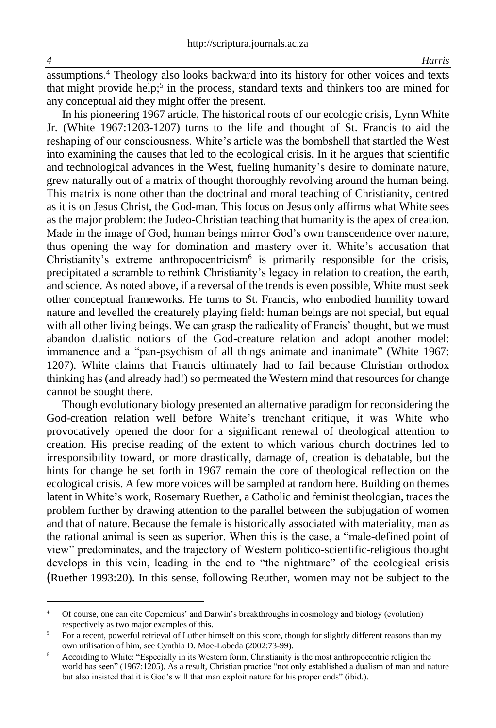assumptions.<sup>4</sup> Theology also looks backward into its history for other voices and texts that might provide help;<sup>5</sup> in the process, standard texts and thinkers too are mined for any conceptual aid they might offer the present.

In his pioneering 1967 article, The historical roots of our ecologic crisis, Lynn White Jr. (White 1967:1203-1207) turns to the life and thought of St. Francis to aid the reshaping of our consciousness. White's article was the bombshell that startled the West into examining the causes that led to the ecological crisis. In it he argues that scientific and technological advances in the West, fueling humanity's desire to dominate nature, grew naturally out of a matrix of thought thoroughly revolving around the human being. This matrix is none other than the doctrinal and moral teaching of Christianity, centred as it is on Jesus Christ, the God-man. This focus on Jesus only affirms what White sees as the major problem: the Judeo-Christian teaching that humanity is the apex of creation. Made in the image of God, human beings mirror God's own transcendence over nature, thus opening the way for domination and mastery over it. White's accusation that Christianity's extreme anthropocentricism<sup>6</sup> is primarily responsible for the crisis, precipitated a scramble to rethink Christianity's legacy in relation to creation, the earth, and science. As noted above, if a reversal of the trends is even possible, White must seek other conceptual frameworks. He turns to St. Francis, who embodied humility toward nature and levelled the creaturely playing field: human beings are not special, but equal with all other living beings. We can grasp the radicality of Francis' thought, but we must abandon dualistic notions of the God-creature relation and adopt another model: immanence and a "pan-psychism of all things animate and inanimate" (White 1967: 1207). White claims that Francis ultimately had to fail because Christian orthodox thinking has (and already had!) so permeated the Western mind that resources for change cannot be sought there.

Though evolutionary biology presented an alternative paradigm for reconsidering the God-creation relation well before White's trenchant critique, it was White who provocatively opened the door for a significant renewal of theological attention to creation. His precise reading of the extent to which various church doctrines led to irresponsibility toward, or more drastically, damage of, creation is debatable, but the hints for change he set forth in 1967 remain the core of theological reflection on the ecological crisis. A few more voices will be sampled at random here. Building on themes latent in White's work, Rosemary Ruether, a Catholic and feminist theologian, traces the problem further by drawing attention to the parallel between the subjugation of women and that of nature. Because the female is historically associated with materiality, man as the rational animal is seen as superior. When this is the case, a "male-defined point of view" predominates, and the trajectory of Western politico-scientific-religious thought develops in this vein, leading in the end to "the nightmare" of the ecological crisis (Ruether 1993:20). In this sense, following Reuther, women may not be subject to the

<sup>4</sup> Of course, one can cite Copernicus' and Darwin's breakthroughs in cosmology and biology (evolution) respectively as two major examples of this.

<sup>&</sup>lt;sup>5</sup> For a recent, powerful retrieval of Luther himself on this score, though for slightly different reasons than my own utilisation of him, see Cynthia D. Moe-Lobeda (2002:73-99).

<sup>&</sup>lt;sup>6</sup> According to White: "Especially in its Western form, Christianity is the most anthropocentric religion the world has seen" (1967:1205). As a result, Christian practice "not only established a dualism of man and nature but also insisted that it is God's will that man exploit nature for his proper ends" (ibid.).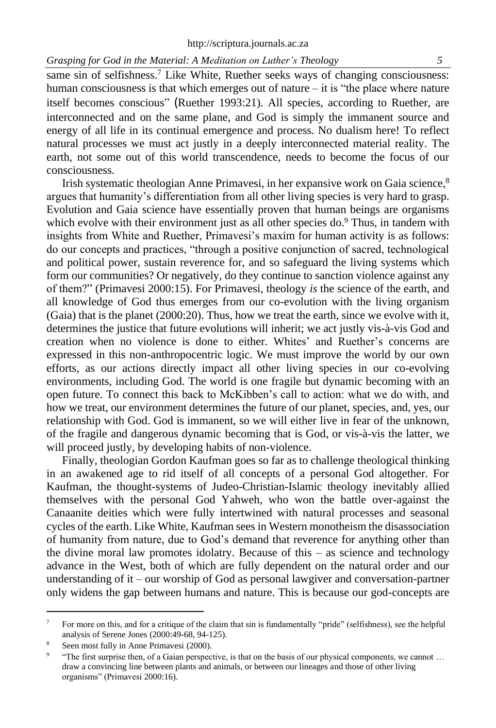same sin of selfishness.<sup>7</sup> Like White, Ruether seeks ways of changing consciousness: human consciousness is that which emerges out of nature – it is "the place where nature itself becomes conscious" (Ruether 1993:21). All species, according to Ruether, are interconnected and on the same plane, and God is simply the immanent source and energy of all life in its continual emergence and process. No dualism here! To reflect natural processes we must act justly in a deeply interconnected material reality. The earth, not some out of this world transcendence, needs to become the focus of our consciousness.

Irish systematic theologian Anne Primavesi, in her expansive work on Gaia science,<sup>8</sup> argues that humanity's differentiation from all other living species is very hard to grasp. Evolution and Gaia science have essentially proven that human beings are organisms which evolve with their environment just as all other species do.<sup>9</sup> Thus, in tandem with insights from White and Ruether, Primavesi's maxim for human activity is as follows: do our concepts and practices, "through a positive conjunction of sacred, technological and political power, sustain reverence for, and so safeguard the living systems which form our communities? Or negatively, do they continue to sanction violence against any of them?" (Primavesi 2000:15). For Primavesi, theology *is* the science of the earth, and all knowledge of God thus emerges from our co-evolution with the living organism (Gaia) that is the planet (2000:20). Thus, how we treat the earth, since we evolve with it, determines the justice that future evolutions will inherit; we act justly vis-à-vis God and creation when no violence is done to either. Whites' and Ruether's concerns are expressed in this non-anthropocentric logic. We must improve the world by our own efforts, as our actions directly impact all other living species in our co-evolving environments, including God. The world is one fragile but dynamic becoming with an open future. To connect this back to McKibben's call to action: what we do with, and how we treat, our environment determines the future of our planet, species, and, yes, our relationship with God. God is immanent, so we will either live in fear of the unknown, of the fragile and dangerous dynamic becoming that is God, or vis-à-vis the latter, we will proceed justly, by developing habits of non-violence.

Finally, theologian Gordon Kaufman goes so far as to challenge theological thinking in an awakened age to rid itself of all concepts of a personal God altogether. For Kaufman, the thought-systems of Judeo-Christian-Islamic theology inevitably allied themselves with the personal God Yahweh, who won the battle over-against the Canaanite deities which were fully intertwined with natural processes and seasonal cycles of the earth. Like White, Kaufman sees in Western monotheism the disassociation of humanity from nature, due to God's demand that reverence for anything other than the divine moral law promotes idolatry. Because of this – as science and technology advance in the West, both of which are fully dependent on the natural order and our understanding of it – our worship of God as personal lawgiver and conversation-partner only widens the gap between humans and nature. This is because our god-concepts are

<sup>&</sup>lt;sup>7</sup> For more on this, and for a critique of the claim that sin is fundamentally "pride" (selfishness), see the helpful analysis of Serene Jones (2000:49-68, 94-125).

<sup>8</sup> Seen most fully in Anne Primavesi (2000).

<sup>9</sup> "The first surprise then, of a Gaian perspective, is that on the basis of our physical components, we cannot … draw a convincing line between plants and animals, or between our lineages and those of other living organisms" (Primavesi 2000:16).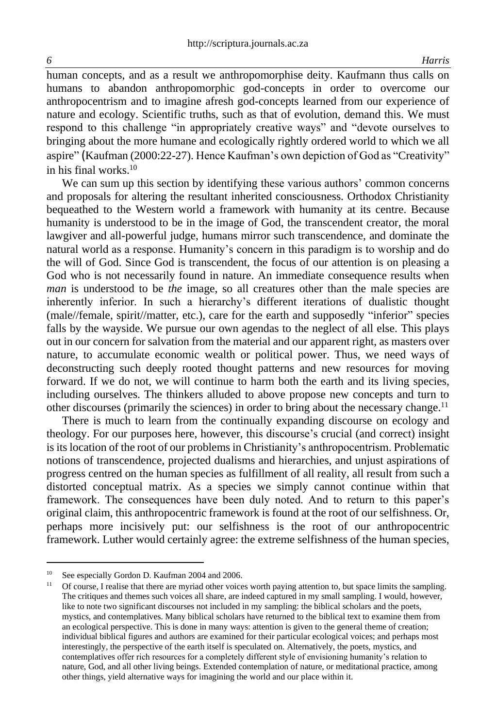human concepts, and as a result we anthropomorphise deity. Kaufmann thus calls on humans to abandon anthropomorphic god-concepts in order to overcome our anthropocentrism and to imagine afresh god-concepts learned from our experience of nature and ecology. Scientific truths, such as that of evolution, demand this. We must respond to this challenge "in appropriately creative ways" and "devote ourselves to bringing about the more humane and ecologically rightly ordered world to which we all aspire" (Kaufman (2000:22-27). Hence Kaufman's own depiction of God as "Creativity" in his final works  $10$ 

We can sum up this section by identifying these various authors' common concerns and proposals for altering the resultant inherited consciousness. Orthodox Christianity bequeathed to the Western world a framework with humanity at its centre. Because humanity is understood to be in the image of God, the transcendent creator, the moral lawgiver and all-powerful judge, humans mirror such transcendence, and dominate the natural world as a response. Humanity's concern in this paradigm is to worship and do the will of God. Since God is transcendent, the focus of our attention is on pleasing a God who is not necessarily found in nature. An immediate consequence results when *man* is understood to be *the* image, so all creatures other than the male species are inherently inferior. In such a hierarchy's different iterations of dualistic thought (male//female, spirit//matter, etc.), care for the earth and supposedly "inferior" species falls by the wayside. We pursue our own agendas to the neglect of all else. This plays out in our concern for salvation from the material and our apparent right, as masters over nature, to accumulate economic wealth or political power. Thus, we need ways of deconstructing such deeply rooted thought patterns and new resources for moving forward. If we do not, we will continue to harm both the earth and its living species, including ourselves. The thinkers alluded to above propose new concepts and turn to other discourses (primarily the sciences) in order to bring about the necessary change.<sup>11</sup>

There is much to learn from the continually expanding discourse on ecology and theology. For our purposes here, however, this discourse's crucial (and correct) insight is its location of the root of our problems in Christianity's anthropocentrism. Problematic notions of transcendence, projected dualisms and hierarchies, and unjust aspirations of progress centred on the human species as fulfillment of all reality, all result from such a distorted conceptual matrix. As a species we simply cannot continue within that framework. The consequences have been duly noted. And to return to this paper's original claim, this anthropocentric framework is found at the root of our selfishness. Or, perhaps more incisively put: our selfishness is the root of our anthropocentric framework. Luther would certainly agree: the extreme selfishness of the human species,

<sup>10</sup> See especially Gordon D. Kaufman 2004 and 2006.

<sup>11</sup> Of course, I realise that there are myriad other voices worth paying attention to, but space limits the sampling. The critiques and themes such voices all share, are indeed captured in my small sampling. I would, however, like to note two significant discourses not included in my sampling: the biblical scholars and the poets, mystics, and contemplatives. Many biblical scholars have returned to the biblical text to examine them from an ecological perspective. This is done in many ways: attention is given to the general theme of creation; individual biblical figures and authors are examined for their particular ecological voices; and perhaps most interestingly, the perspective of the earth itself is speculated on. Alternatively, the poets, mystics, and contemplatives offer rich resources for a completely different style of envisioning humanity's relation to nature, God, and all other living beings. Extended contemplation of nature, or meditational practice, among other things, yield alternative ways for imagining the world and our place within it.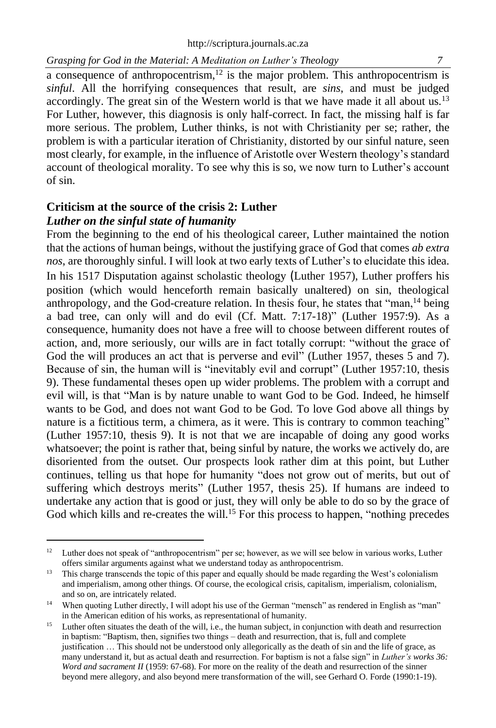a consequence of anthropocentrism, $12$  is the major problem. This anthropocentrism is *sinful*. All the horrifying consequences that result, are *sins*, and must be judged accordingly. The great sin of the Western world is that we have made it all about us.<sup>13</sup> For Luther, however, this diagnosis is only half-correct. In fact, the missing half is far more serious. The problem, Luther thinks, is not with Christianity per se; rather, the problem is with a particular iteration of Christianity, distorted by our sinful nature, seen most clearly, for example, in the influence of Aristotle over Western theology's standard account of theological morality. To see why this is so, we now turn to Luther's account of sin.

# **Criticism at the source of the crisis 2: Luther** *Luther on the sinful state of humanity*

From the beginning to the end of his theological career, Luther maintained the notion that the actions of human beings, without the justifying grace of God that comes *ab extra nos*, are thoroughly sinful. I will look at two early texts of Luther's to elucidate this idea. In his 1517 Disputation against scholastic theology (Luther 1957), Luther proffers his position (which would henceforth remain basically unaltered) on sin, theological anthropology, and the God-creature relation. In thesis four, he states that "man,<sup>14</sup> being a bad tree, can only will and do evil (Cf. Matt. 7:17-18)" (Luther 1957:9). As a consequence, humanity does not have a free will to choose between different routes of action, and, more seriously, our wills are in fact totally corrupt: "without the grace of God the will produces an act that is perverse and evil" (Luther 1957, theses 5 and 7). Because of sin, the human will is "inevitably evil and corrupt" (Luther 1957:10, thesis 9). These fundamental theses open up wider problems. The problem with a corrupt and evil will, is that "Man is by nature unable to want God to be God. Indeed, he himself wants to be God, and does not want God to be God. To love God above all things by nature is a fictitious term, a chimera, as it were. This is contrary to common teaching" (Luther 1957:10, thesis 9). It is not that we are incapable of doing any good works whatsoever; the point is rather that, being sinful by nature, the works we actively do, are disoriented from the outset. Our prospects look rather dim at this point, but Luther continues, telling us that hope for humanity "does not grow out of merits, but out of suffering which destroys merits" (Luther 1957, thesis 25). If humans are indeed to undertake any action that is good or just, they will only be able to do so by the grace of God which kills and re-creates the will.<sup>15</sup> For this process to happen, "nothing precedes

<sup>&</sup>lt;sup>12</sup> Luther does not speak of "anthropocentrism" per se; however, as we will see below in various works, Luther offers similar arguments against what we understand today as anthropocentrism.

<sup>&</sup>lt;sup>13</sup> This charge transcends the topic of this paper and equally should be made regarding the West's colonialism and imperialism, among other things. Of course, the ecological crisis, capitalism, imperialism, colonialism, and so on, are intricately related.

<sup>&</sup>lt;sup>14</sup> When quoting Luther directly, I will adopt his use of the German "mensch" as rendered in English as "man" in the American edition of his works, as representational of humanity.

<sup>&</sup>lt;sup>15</sup> Luther often situates the death of the will, i.e., the human subject, in conjunction with death and resurrection in baptism: "Baptism, then, signifies two things – death and resurrection, that is, full and complete justification … This should not be understood only allegorically as the death of sin and the life of grace, as many understand it, but as actual death and resurrection. For baptism is not a false sign" in *Luther's works 36: Word and sacrament II* (1959: 67-68). For more on the reality of the death and resurrection of the sinner beyond mere allegory, and also beyond mere transformation of the will, see Gerhard O. Forde (1990:1-19).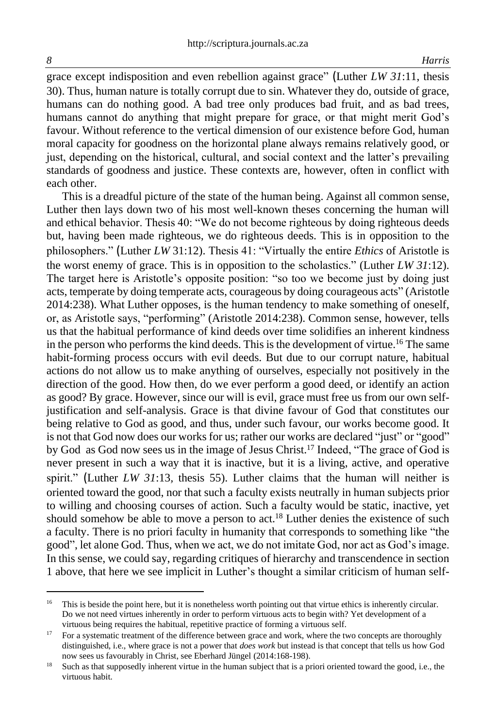grace except indisposition and even rebellion against grace" (Luther *LW 31*:11, thesis 30). Thus, human nature is totally corrupt due to sin. Whatever they do, outside of grace, humans can do nothing good. A bad tree only produces bad fruit, and as bad trees, humans cannot do anything that might prepare for grace, or that might merit God's favour. Without reference to the vertical dimension of our existence before God, human moral capacity for goodness on the horizontal plane always remains relatively good, or just, depending on the historical, cultural, and social context and the latter's prevailing standards of goodness and justice. These contexts are, however, often in conflict with each other.

This is a dreadful picture of the state of the human being. Against all common sense, Luther then lays down two of his most well-known theses concerning the human will and ethical behavior. Thesis 40: "We do not become righteous by doing righteous deeds but, having been made righteous, we do righteous deeds. This is in opposition to the philosophers." (Luther *LW* 31:12). Thesis 41: "Virtually the entire *Ethics* of Aristotle is the worst enemy of grace. This is in opposition to the scholastics." (Luther *LW 31*:12). The target here is Aristotle's opposite position: "so too we become just by doing just acts, temperate by doing temperate acts, courageous by doing courageous acts" (Aristotle 2014:238). What Luther opposes, is the human tendency to make something of oneself, or, as Aristotle says, "performing" (Aristotle 2014:238). Common sense, however, tells us that the habitual performance of kind deeds over time solidifies an inherent kindness in the person who performs the kind deeds. This is the development of virtue.<sup>16</sup> The same habit-forming process occurs with evil deeds. But due to our corrupt nature, habitual actions do not allow us to make anything of ourselves, especially not positively in the direction of the good. How then, do we ever perform a good deed, or identify an action as good? By grace. However, since our will is evil, grace must free us from our own selfjustification and self-analysis. Grace is that divine favour of God that constitutes our being relative to God as good, and thus, under such favour, our works become good. It is not that God now does our works for us; rather our works are declared "just" or "good" by God as God now sees us in the image of Jesus Christ.<sup>17</sup> Indeed, "The grace of God is never present in such a way that it is inactive, but it is a living, active, and operative spirit." (Luther *LW 31*:13*,* thesis 55). Luther claims that the human will neither is oriented toward the good, nor that such a faculty exists neutrally in human subjects prior to willing and choosing courses of action. Such a faculty would be static, inactive, yet should somehow be able to move a person to act.<sup>18</sup> Luther denies the existence of such a faculty. There is no priori faculty in humanity that corresponds to something like "the good", let alone God. Thus, when we act, we do not imitate God, nor act as God's image. In this sense, we could say, regarding critiques of hierarchy and transcendence in section 1 above, that here we see implicit in Luther's thought a similar criticism of human self-

<sup>&</sup>lt;sup>16</sup> This is beside the point here, but it is nonetheless worth pointing out that virtue ethics is inherently circular. Do we not need virtues inherently in order to perform virtuous acts to begin with? Yet development of a virtuous being requires the habitual, repetitive practice of forming a virtuous self.

<sup>&</sup>lt;sup>17</sup> For a systematic treatment of the difference between grace and work, where the two concepts are thoroughly distinguished, i.e., where grace is not a power that *does work* but instead is that concept that tells us how God now sees us favourably in Christ, see Eberhard Jüngel (2014:168-198).

<sup>&</sup>lt;sup>18</sup> Such as that supposedly inherent virtue in the human subject that is a priori oriented toward the good, i.e., the virtuous habit.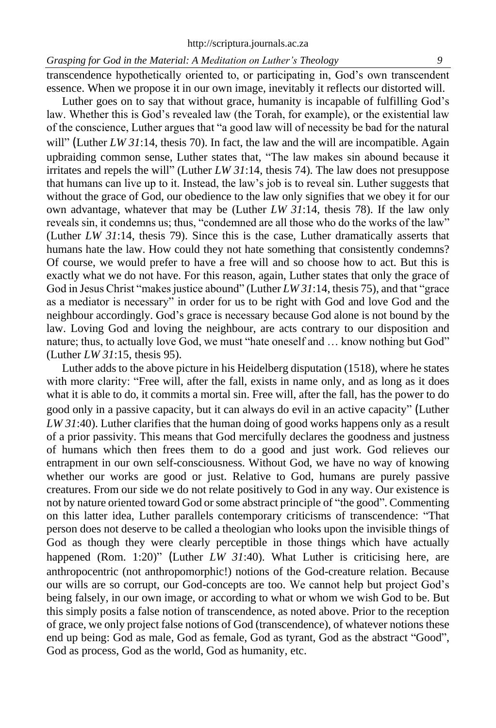transcendence hypothetically oriented to, or participating in, God's own transcendent essence. When we propose it in our own image, inevitably it reflects our distorted will.

Luther goes on to say that without grace, humanity is incapable of fulfilling God's law. Whether this is God's revealed law (the Torah, for example), or the existential law of the conscience, Luther argues that "a good law will of necessity be bad for the natural will" (Luther *LW 31*:14, thesis 70). In fact, the law and the will are incompatible. Again upbraiding common sense, Luther states that, "The law makes sin abound because it irritates and repels the will" (Luther *LW 31*:14, thesis 74). The law does not presuppose that humans can live up to it. Instead, the law's job is to reveal sin. Luther suggests that without the grace of God, our obedience to the law only signifies that we obey it for our own advantage, whatever that may be (Luther *LW 31*:14, thesis 78). If the law only reveals sin, it condemns us; thus, "condemned are all those who do the works of the law" (Luther *LW 31*:14, thesis 79). Since this is the case, Luther dramatically asserts that humans hate the law. How could they not hate something that consistently condemns? Of course, we would prefer to have a free will and so choose how to act. But this is exactly what we do not have. For this reason, again, Luther states that only the grace of God in Jesus Christ "makes justice abound" (Luther *LW 31*:14, thesis 75), and that "grace as a mediator is necessary" in order for us to be right with God and love God and the neighbour accordingly. God's grace is necessary because God alone is not bound by the law. Loving God and loving the neighbour, are acts contrary to our disposition and nature; thus, to actually love God, we must "hate oneself and … know nothing but God" (Luther *LW 31*:15, thesis 95).

Luther adds to the above picture in his Heidelberg disputation (1518), where he states with more clarity: "Free will, after the fall, exists in name only, and as long as it does what it is able to do, it commits a mortal sin. Free will, after the fall, has the power to do good only in a passive capacity, but it can always do evil in an active capacity" (Luther *LW 31*:40). Luther clarifies that the human doing of good works happens only as a result of a prior passivity. This means that God mercifully declares the goodness and justness of humans which then frees them to do a good and just work. God relieves our entrapment in our own self-consciousness. Without God, we have no way of knowing whether our works are good or just. Relative to God, humans are purely passive creatures. From our side we do not relate positively to God in any way. Our existence is not by nature oriented toward God or some abstract principle of "the good". Commenting on this latter idea, Luther parallels contemporary criticisms of transcendence: "That person does not deserve to be called a theologian who looks upon the invisible things of God as though they were clearly perceptible in those things which have actually happened (Rom. 1:20)" (Luther *LW 31:40*). What Luther is criticising here, are anthropocentric (not anthropomorphic!) notions of the God-creature relation. Because our wills are so corrupt, our God-concepts are too. We cannot help but project God's being falsely, in our own image, or according to what or whom we wish God to be. But this simply posits a false notion of transcendence, as noted above. Prior to the reception of grace, we only project false notions of God (transcendence), of whatever notions these end up being: God as male, God as female, God as tyrant, God as the abstract "Good", God as process, God as the world, God as humanity, etc.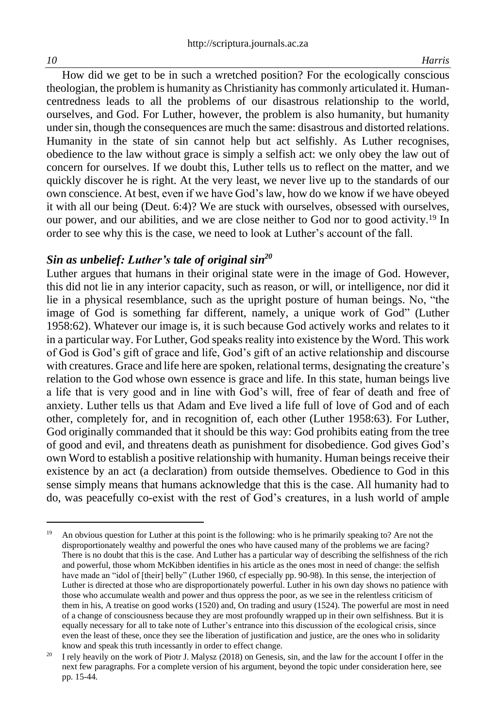How did we get to be in such a wretched position? For the ecologically conscious theologian, the problem is humanity as Christianity has commonly articulated it. Humancentredness leads to all the problems of our disastrous relationship to the world, ourselves, and God. For Luther, however, the problem is also humanity, but humanity under sin, though the consequences are much the same: disastrous and distorted relations. Humanity in the state of sin cannot help but act selfishly. As Luther recognises, obedience to the law without grace is simply a selfish act: we only obey the law out of concern for ourselves. If we doubt this, Luther tells us to reflect on the matter, and we quickly discover he is right. At the very least, we never live up to the standards of our own conscience. At best, even if we have God's law, how do we know if we have obeyed it with all our being (Deut. 6:4)? We are stuck with ourselves, obsessed with ourselves, our power, and our abilities, and we are close neither to God nor to good activity.<sup>19</sup> In order to see why this is the case, we need to look at Luther's account of the fall.

# *Sin as unbelief: Luther's tale of original sin<sup>20</sup>*

Luther argues that humans in their original state were in the image of God. However, this did not lie in any interior capacity, such as reason, or will, or intelligence, nor did it lie in a physical resemblance, such as the upright posture of human beings. No, "the image of God is something far different, namely, a unique work of God" (Luther 1958:62). Whatever our image is, it is such because God actively works and relates to it in a particular way. For Luther, God speaks reality into existence by the Word. This work of God is God's gift of grace and life, God's gift of an active relationship and discourse with creatures. Grace and life here are spoken, relational terms, designating the creature's relation to the God whose own essence is grace and life. In this state, human beings live a life that is very good and in line with God's will, free of fear of death and free of anxiety. Luther tells us that Adam and Eve lived a life full of love of God and of each other, completely for, and in recognition of, each other (Luther 1958:63). For Luther, God originally commanded that it should be this way: God prohibits eating from the tree of good and evil, and threatens death as punishment for disobedience. God gives God's own Word to establish a positive relationship with humanity. Human beings receive their existence by an act (a declaration) from outside themselves. Obedience to God in this sense simply means that humans acknowledge that this is the case. All humanity had to do, was peacefully co-exist with the rest of God's creatures, in a lush world of ample

<sup>&</sup>lt;sup>19</sup> An obvious question for Luther at this point is the following: who is he primarily speaking to? Are not the disproportionately wealthy and powerful the ones who have caused many of the problems we are facing? There is no doubt that this is the case. And Luther has a particular way of describing the selfishness of the rich and powerful, those whom McKibben identifies in his article as the ones most in need of change: the selfish have made an "idol of [their] belly" (Luther 1960, cf especially pp. 90-98). In this sense, the interjection of Luther is directed at those who are disproportionately powerful. Luther in his own day shows no patience with those who accumulate wealth and power and thus oppress the poor, as we see in the relentless criticism of them in his, A treatise on good works (1520) and, On trading and usury (1524). The powerful are most in need of a change of consciousness because they are most profoundly wrapped up in their own selfishness. But it is equally necessary for all to take note of Luther's entrance into this discussion of the ecological crisis, since even the least of these, once they see the liberation of justification and justice, are the ones who in solidarity know and speak this truth incessantly in order to effect change.

<sup>20</sup> I rely heavily on the work of Piotr J. Malysz (2018) on Genesis, sin, and the law for the account I offer in the next few paragraphs. For a complete version of his argument, beyond the topic under consideration here, see pp. 15-44.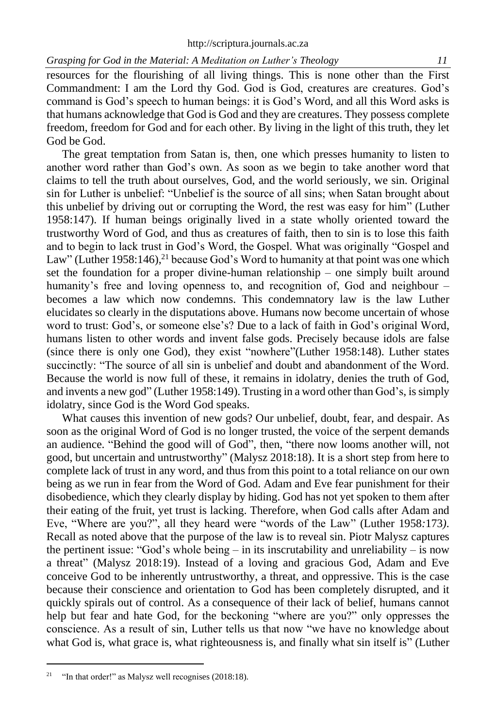resources for the flourishing of all living things. This is none other than the First Commandment: I am the Lord thy God. God is God, creatures are creatures. God's command is God's speech to human beings: it is God's Word, and all this Word asks is that humans acknowledge that God is God and they are creatures. They possess complete freedom, freedom for God and for each other. By living in the light of this truth, they let God be God.

The great temptation from Satan is, then, one which presses humanity to listen to another word rather than God's own. As soon as we begin to take another word that claims to tell the truth about ourselves, God, and the world seriously, we sin. Original sin for Luther is unbelief: "Unbelief is the source of all sins; when Satan brought about this unbelief by driving out or corrupting the Word, the rest was easy for him" (Luther 1958:147). If human beings originally lived in a state wholly oriented toward the trustworthy Word of God, and thus as creatures of faith, then to sin is to lose this faith and to begin to lack trust in God's Word, the Gospel. What was originally "Gospel and Law" (Luther 1958:146),<sup>21</sup> because God's Word to humanity at that point was one which set the foundation for a proper divine-human relationship – one simply built around humanity's free and loving openness to, and recognition of, God and neighbour – becomes a law which now condemns. This condemnatory law is the law Luther elucidates so clearly in the disputations above. Humans now become uncertain of whose word to trust: God's, or someone else's? Due to a lack of faith in God's original Word, humans listen to other words and invent false gods. Precisely because idols are false (since there is only one God), they exist "nowhere"(Luther 1958:148). Luther states succinctly: "The source of all sin is unbelief and doubt and abandonment of the Word. Because the world is now full of these, it remains in idolatry, denies the truth of God, and invents a new god" (Luther 1958:149). Trusting in a word other than God's, is simply idolatry, since God is the Word God speaks.

What causes this invention of new gods? Our unbelief, doubt, fear, and despair. As soon as the original Word of God is no longer trusted, the voice of the serpent demands an audience. "Behind the good will of God", then, "there now looms another will, not good, but uncertain and untrustworthy" (Malysz 2018:18). It is a short step from here to complete lack of trust in any word, and thus from this point to a total reliance on our own being as we run in fear from the Word of God. Adam and Eve fear punishment for their disobedience, which they clearly display by hiding. God has not yet spoken to them after their eating of the fruit, yet trust is lacking. Therefore, when God calls after Adam and Eve, "Where are you?", all they heard were "words of the Law" (Luther 1958*:*173*)*. Recall as noted above that the purpose of the law is to reveal sin. Piotr Malysz captures the pertinent issue: "God's whole being  $-$  in its inscrutability and unreliability  $-$  is now a threat" (Malysz 2018:19). Instead of a loving and gracious God, Adam and Eve conceive God to be inherently untrustworthy, a threat, and oppressive. This is the case because their conscience and orientation to God has been completely disrupted, and it quickly spirals out of control. As a consequence of their lack of belief, humans cannot help but fear and hate God, for the beckoning "where are you?" only oppresses the conscience. As a result of sin, Luther tells us that now "we have no knowledge about what God is, what grace is, what righteousness is, and finally what sin itself is" (Luther

<sup>&</sup>lt;sup>21</sup> "In that order!" as Malysz well recognises  $(2018:18)$ .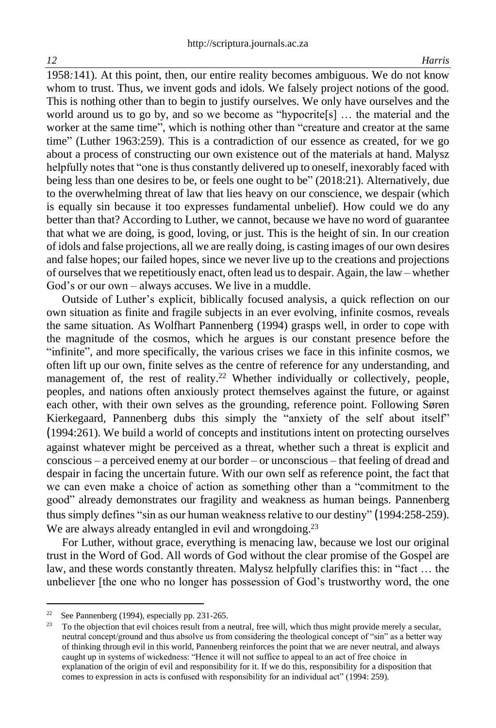1958*:*141). At this point, then, our entire reality becomes ambiguous. We do not know whom to trust. Thus, we invent gods and idols. We falsely project notions of the good. This is nothing other than to begin to justify ourselves. We only have ourselves and the world around us to go by, and so we become as "hypocrite[s] … the material and the worker at the same time", which is nothing other than "creature and creator at the same time" (Luther 1963:259). This is a contradiction of our essence as created, for we go about a process of constructing our own existence out of the materials at hand. Malysz helpfully notes that "one is thus constantly delivered up to oneself, inexorably faced with being less than one desires to be, or feels one ought to be" (2018:21). Alternatively, due to the overwhelming threat of law that lies heavy on our conscience, we despair (which is equally sin because it too expresses fundamental unbelief). How could we do any better than that? According to Luther, we cannot, because we have no word of guarantee that what we are doing, is good, loving, or just. This is the height of sin. In our creation of idols and false projections, all we are really doing, is casting images of our own desires and false hopes; our failed hopes, since we never live up to the creations and projections of ourselves that we repetitiously enact, often lead us to despair. Again, the law – whether God's or our own – always accuses. We live in a muddle.

Outside of Luther's explicit, biblically focused analysis, a quick reflection on our own situation as finite and fragile subjects in an ever evolving, infinite cosmos, reveals the same situation. As Wolfhart Pannenberg (1994) grasps well, in order to cope with the magnitude of the cosmos, which he argues is our constant presence before the "infinite", and more specifically, the various crises we face in this infinite cosmos, we often lift up our own, finite selves as the centre of reference for any understanding, and management of, the rest of reality.<sup>22</sup> Whether individually or collectively, people, peoples, and nations often anxiously protect themselves against the future, or against each other, with their own selves as the grounding, reference point. Following Søren Kierkegaard, Pannenberg dubs this simply the "anxiety of the self about itself" (1994:261). We build a world of concepts and institutions intent on protecting ourselves against whatever might be perceived as a threat, whether such a threat is explicit and conscious – a perceived enemy at our border – or unconscious – that feeling of dread and despair in facing the uncertain future. With our own self as reference point, the fact that we can even make a choice of action as something other than a "commitment to the good" already demonstrates our fragility and weakness as human beings. Pannenberg thus simply defines "sin as our human weakness relative to our destiny" (1994:258-259). We are always already entangled in evil and wrongdoing.<sup>23</sup>

For Luther, without grace, everything is menacing law, because we lost our original trust in the Word of God. All words of God without the clear promise of the Gospel are law, and these words constantly threaten. Malysz helpfully clarifies this: in "fact … the unbeliever [the one who no longer has possession of God's trustworthy word, the one

<sup>22</sup> See Pannenberg (1994), especially pp. 231-265.

<sup>&</sup>lt;sup>23</sup> To the objection that evil choices result from a neutral, free will, which thus might provide merely a secular, neutral concept/ground and thus absolve us from considering the theological concept of "sin" as a better way of thinking through evil in this world, Pannenberg reinforces the point that we are never neutral, and always caught up in systems of wickedness: "Hence it will not suffice to appeal to an act of free choice in explanation of the origin of evil and responsibility for it. If we do this, responsibility for a disposition that comes to expression in acts is confused with responsibility for an individual act" (1994: 259).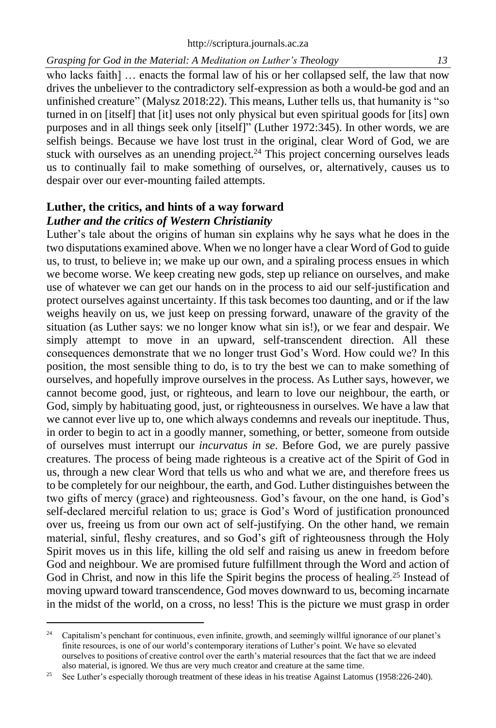who lacks faith] ... enacts the formal law of his or her collapsed self, the law that now drives the unbeliever to the contradictory self-expression as both a would-be god and an unfinished creature" (Malysz 2018:22). This means, Luther tells us, that humanity is "so turned in on [itself] that [it] uses not only physical but even spiritual goods for [its] own purposes and in all things seek only [itself]" (Luther 1972:345). In other words, we are selfish beings. Because we have lost trust in the original, clear Word of God, we are stuck with ourselves as an unending project.<sup>24</sup> This project concerning ourselves leads us to continually fail to make something of ourselves, or, alternatively, causes us to despair over our ever-mounting failed attempts.

# **Luther, the critics, and hints of a way forward** *Luther and the critics of Western Christianity*

Luther's tale about the origins of human sin explains why he says what he does in the two disputations examined above. When we no longer have a clear Word of God to guide us, to trust, to believe in; we make up our own, and a spiraling process ensues in which we become worse. We keep creating new gods, step up reliance on ourselves, and make use of whatever we can get our hands on in the process to aid our self-justification and protect ourselves against uncertainty. If this task becomes too daunting, and or if the law weighs heavily on us, we just keep on pressing forward, unaware of the gravity of the situation (as Luther says: we no longer know what sin is!), or we fear and despair. We simply attempt to move in an upward, self-transcendent direction. All these consequences demonstrate that we no longer trust God's Word. How could we? In this position, the most sensible thing to do, is to try the best we can to make something of ourselves, and hopefully improve ourselves in the process. As Luther says, however, we cannot become good, just, or righteous, and learn to love our neighbour, the earth, or God, simply by habituating good, just, or righteousness in ourselves. We have a law that we cannot ever live up to, one which always condemns and reveals our ineptitude. Thus, in order to begin to act in a goodly manner, something, or better, someone from outside of ourselves must interrupt our *incurvatus in se*. Before God, we are purely passive creatures. The process of being made righteous is a creative act of the Spirit of God in us, through a new clear Word that tells us who and what we are, and therefore frees us to be completely for our neighbour, the earth, and God. Luther distinguishes between the two gifts of mercy (grace) and righteousness. God's favour, on the one hand, is God's self-declared merciful relation to us; grace is God's Word of justification pronounced over us, freeing us from our own act of self-justifying. On the other hand, we remain material, sinful, fleshy creatures, and so God's gift of righteousness through the Holy Spirit moves us in this life, killing the old self and raising us anew in freedom before God and neighbour. We are promised future fulfillment through the Word and action of God in Christ, and now in this life the Spirit begins the process of healing.<sup>25</sup> Instead of moving upward toward transcendence, God moves downward to us, becoming incarnate in the midst of the world, on a cross, no less! This is the picture we must grasp in order

<sup>&</sup>lt;sup>24</sup> Capitalism's penchant for continuous, even infinite, growth, and seemingly willful ignorance of our planet's finite resources, is one of our world's contemporary iterations of Luther's point. We have so elevated ourselves to positions of creative control over the earth's material resources that the fact that we are indeed also material, is ignored. We thus are very much creator and creature at the same time.

<sup>&</sup>lt;sup>25</sup> See Luther's especially thorough treatment of these ideas in his treatise Against Latomus (1958:226-240).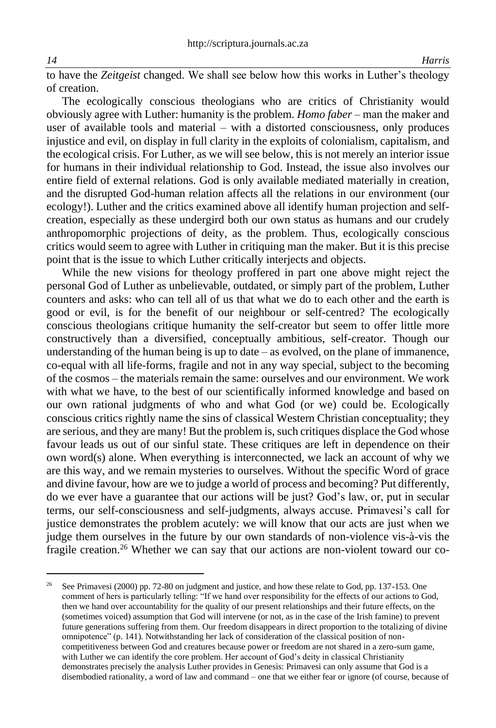to have the *Zeitgeist* changed. We shall see below how this works in Luther's theology of creation.

The ecologically conscious theologians who are critics of Christianity would obviously agree with Luther: humanity is the problem. *Homo faber* – man the maker and user of available tools and material – with a distorted consciousness, only produces injustice and evil, on display in full clarity in the exploits of colonialism, capitalism, and the ecological crisis. For Luther, as we will see below, this is not merely an interior issue for humans in their individual relationship to God. Instead, the issue also involves our entire field of external relations. God is only available mediated materially in creation, and the disrupted God-human relation affects all the relations in our environment (our ecology!). Luther and the critics examined above all identify human projection and selfcreation, especially as these undergird both our own status as humans and our crudely anthropomorphic projections of deity, as the problem. Thus, ecologically conscious critics would seem to agree with Luther in critiquing man the maker. But it is this precise point that is the issue to which Luther critically interjects and objects.

While the new visions for theology proffered in part one above might reject the personal God of Luther as unbelievable, outdated, or simply part of the problem, Luther counters and asks: who can tell all of us that what we do to each other and the earth is good or evil, is for the benefit of our neighbour or self-centred? The ecologically conscious theologians critique humanity the self-creator but seem to offer little more constructively than a diversified, conceptually ambitious, self-creator. Though our understanding of the human being is up to date – as evolved, on the plane of immanence, co-equal with all life-forms, fragile and not in any way special, subject to the becoming of the cosmos – the materials remain the same: ourselves and our environment. We work with what we have, to the best of our scientifically informed knowledge and based on our own rational judgments of who and what God (or we) could be. Ecologically conscious critics rightly name the sins of classical Western Christian conceptuality; they are serious, and they are many! But the problem is, such critiques displace the God whose favour leads us out of our sinful state. These critiques are left in dependence on their own word(s) alone. When everything is interconnected, we lack an account of why we are this way, and we remain mysteries to ourselves. Without the specific Word of grace and divine favour, how are we to judge a world of process and becoming? Put differently, do we ever have a guarantee that our actions will be just? God's law, or, put in secular terms, our self-consciousness and self-judgments, always accuse. Primavesi's call for justice demonstrates the problem acutely: we will know that our acts are just when we judge them ourselves in the future by our own standards of non-violence vis-à-vis the fragile creation.<sup>26</sup> Whether we can say that our actions are non-violent toward our co-

<sup>26</sup> See Primavesi (2000) pp. 72-80 on judgment and justice, and how these relate to God, pp. 137-153. One comment of hers is particularly telling: "If we hand over responsibility for the effects of our actions to God, then we hand over accountability for the quality of our present relationships and their future effects, on the (sometimes voiced) assumption that God will intervene (or not, as in the case of the Irish famine) to prevent future generations suffering from them. Our freedom disappears in direct proportion to the totalizing of divine omnipotence" (p. 141). Notwithstanding her lack of consideration of the classical position of noncompetitiveness between God and creatures because power or freedom are not shared in a zero-sum game, with Luther we can identify the core problem. Her account of God's deity in classical Christianity demonstrates precisely the analysis Luther provides in Genesis: Primavesi can only assume that God is a disembodied rationality, a word of law and command – one that we either fear or ignore (of course, because of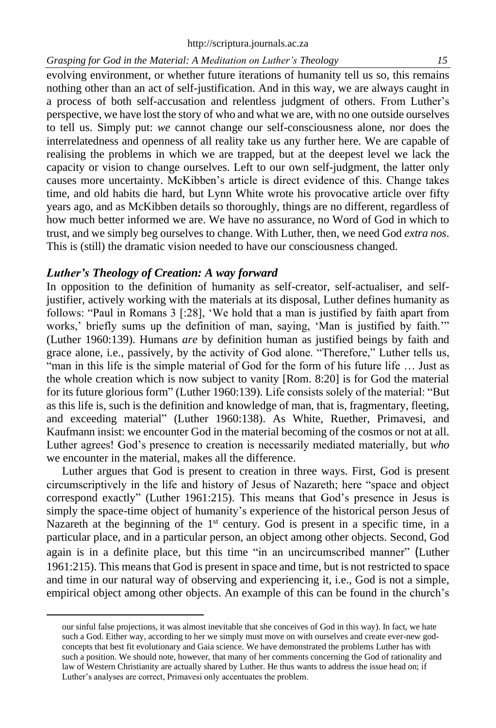evolving environment, or whether future iterations of humanity tell us so, this remains nothing other than an act of self-justification. And in this way, we are always caught in a process of both self-accusation and relentless judgment of others. From Luther's perspective, we have lost the story of who and what we are, with no one outside ourselves to tell us. Simply put: *we* cannot change our self-consciousness alone, nor does the interrelatedness and openness of all reality take us any further here. We are capable of realising the problems in which we are trapped, but at the deepest level we lack the capacity or vision to change ourselves. Left to our own self-judgment, the latter only causes more uncertainty. McKibben's article is direct evidence of this. Change takes time, and old habits die hard, but Lynn White wrote his provocative article over fifty years ago, and as McKibben details so thoroughly, things are no different, regardless of how much better informed we are. We have no assurance, no Word of God in which to trust, and we simply beg ourselves to change. With Luther, then, we need God *extra nos*. This is (still) the dramatic vision needed to have our consciousness changed.

### *Luther's Theology of Creation: A way forward*

In opposition to the definition of humanity as self-creator, self-actualiser, and selfjustifier, actively working with the materials at its disposal, Luther defines humanity as follows: "Paul in Romans 3 [:28], 'We hold that a man is justified by faith apart from works,' briefly sums up the definition of man, saying, 'Man is justified by faith.'" (Luther 1960:139). Humans *are* by definition human as justified beings by faith and grace alone, i.e., passively, by the activity of God alone. "Therefore," Luther tells us, "man in this life is the simple material of God for the form of his future life … Just as the whole creation which is now subject to vanity [Rom. 8:20] is for God the material for its future glorious form" (Luther 1960:139). Life consists solely of the material: "But as this life is, such is the definition and knowledge of man, that is, fragmentary, fleeting, and exceeding material" (Luther 1960:138). As White, Ruether, Primavesi, and Kaufmann insist: we encounter God in the material becoming of the cosmos or not at all. Luther agrees! God's presence to creation is necessarily mediated materially, but *who* we encounter in the material, makes all the difference.

Luther argues that God is present to creation in three ways. First, God is present circumscriptively in the life and history of Jesus of Nazareth; here "space and object correspond exactly" (Luther 1961:215). This means that God's presence in Jesus is simply the space-time object of humanity's experience of the historical person Jesus of Nazareth at the beginning of the 1<sup>st</sup> century. God is present in a specific time, in a particular place, and in a particular person, an object among other objects. Second, God again is in a definite place, but this time "in an uncircumscribed manner" (Luther 1961:215). This means that God is present in space and time, but is not restricted to space and time in our natural way of observing and experiencing it, i.e., God is not a simple, empirical object among other objects. An example of this can be found in the church's

our sinful false projections, it was almost inevitable that she conceives of God in this way). In fact, we hate such a God. Either way, according to her we simply must move on with ourselves and create ever-new godconcepts that best fit evolutionary and Gaia science. We have demonstrated the problems Luther has with such a position. We should note, however, that many of her comments concerning the God of rationality and law of Western Christianity are actually shared by Luther. He thus wants to address the issue head on; if Luther's analyses are correct, Primavesi only accentuates the problem.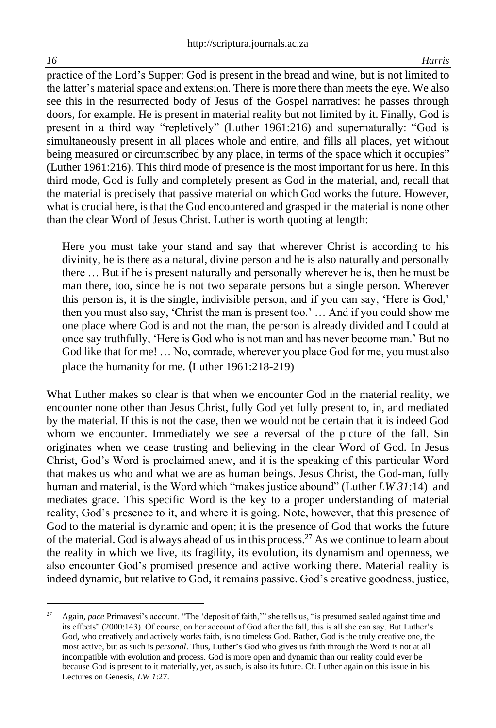practice of the Lord's Supper: God is present in the bread and wine, but is not limited to the latter's material space and extension. There is more there than meets the eye. We also see this in the resurrected body of Jesus of the Gospel narratives: he passes through doors, for example. He is present in material reality but not limited by it. Finally, God is present in a third way "repletively" (Luther 1961:216) and supernaturally: "God is simultaneously present in all places whole and entire, and fills all places, yet without being measured or circumscribed by any place, in terms of the space which it occupies" (Luther 1961:216). This third mode of presence is the most important for us here. In this third mode, God is fully and completely present as God in the material, and, recall that the material is precisely that passive material on which God works the future. However, what is crucial here, is that the God encountered and grasped in the material is none other than the clear Word of Jesus Christ. Luther is worth quoting at length:

Here you must take your stand and say that wherever Christ is according to his divinity, he is there as a natural, divine person and he is also naturally and personally there … But if he is present naturally and personally wherever he is, then he must be man there, too, since he is not two separate persons but a single person. Wherever this person is, it is the single, indivisible person, and if you can say, 'Here is God,' then you must also say, 'Christ the man is present too.' … And if you could show me one place where God is and not the man, the person is already divided and I could at once say truthfully, 'Here is God who is not man and has never become man.' But no God like that for me! … No, comrade, wherever you place God for me, you must also place the humanity for me. (Luther 1961:218-219)

What Luther makes so clear is that when we encounter God in the material reality, we encounter none other than Jesus Christ, fully God yet fully present to, in, and mediated by the material. If this is not the case, then we would not be certain that it is indeed God whom we encounter. Immediately we see a reversal of the picture of the fall. Sin originates when we cease trusting and believing in the clear Word of God. In Jesus Christ, God's Word is proclaimed anew, and it is the speaking of this particular Word that makes us who and what we are as human beings. Jesus Christ, the God-man, fully human and material, is the Word which "makes justice abound" (Luther *LW 31*:14) and mediates grace. This specific Word is the key to a proper understanding of material reality, God's presence to it, and where it is going. Note, however, that this presence of God to the material is dynamic and open; it is the presence of God that works the future of the material. God is always ahead of us in this process.<sup>27</sup> As we continue to learn about the reality in which we live, its fragility, its evolution, its dynamism and openness, we also encounter God's promised presence and active working there. Material reality is indeed dynamic, but relative to God, it remains passive. God's creative goodness, justice,

Again, *pace* Primavesi's account. "The 'deposit of faith," she tells us, "is presumed sealed against time and its effects" (2000:143). Of course, on her account of God after the fall, this is all she can say. But Luther's God, who creatively and actively works faith, is no timeless God. Rather, God is the truly creative one, the most active, but as such is *personal*. Thus, Luther's God who gives us faith through the Word is not at all incompatible with evolution and process. God is more open and dynamic than our reality could ever be because God is present to it materially, yet, as such, is also its future. Cf. Luther again on this issue in his Lectures on Genesis, *LW 1*:27.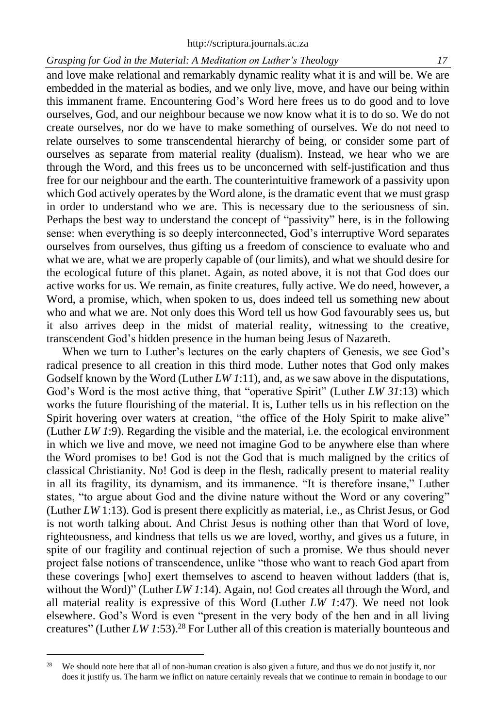and love make relational and remarkably dynamic reality what it is and will be. We are embedded in the material as bodies, and we only live, move, and have our being within this immanent frame. Encountering God's Word here frees us to do good and to love ourselves, God, and our neighbour because we now know what it is to do so. We do not create ourselves, nor do we have to make something of ourselves. We do not need to relate ourselves to some transcendental hierarchy of being, or consider some part of ourselves as separate from material reality (dualism). Instead, we hear who we are through the Word, and this frees us to be unconcerned with self-justification and thus free for our neighbour and the earth. The counterintuitive framework of a passivity upon which God actively operates by the Word alone, is the dramatic event that we must grasp in order to understand who we are. This is necessary due to the seriousness of sin. Perhaps the best way to understand the concept of "passivity" here, is in the following sense: when everything is so deeply interconnected, God's interruptive Word separates ourselves from ourselves, thus gifting us a freedom of conscience to evaluate who and what we are, what we are properly capable of (our limits), and what we should desire for the ecological future of this planet. Again, as noted above, it is not that God does our active works for us. We remain, as finite creatures, fully active. We do need, however, a Word, a promise, which, when spoken to us, does indeed tell us something new about who and what we are. Not only does this Word tell us how God favourably sees us, but it also arrives deep in the midst of material reality, witnessing to the creative, transcendent God's hidden presence in the human being Jesus of Nazareth.

When we turn to Luther's lectures on the early chapters of Genesis, we see God's radical presence to all creation in this third mode. Luther notes that God only makes Godself known by the Word (Luther *LW 1*:11), and, as we saw above in the disputations, God's Word is the most active thing, that "operative Spirit" (Luther *LW 31*:13) which works the future flourishing of the material. It is, Luther tells us in his reflection on the Spirit hovering over waters at creation, "the office of the Holy Spirit to make alive" (Luther *LW 1*:9). Regarding the visible and the material, i.e. the ecological environment in which we live and move, we need not imagine God to be anywhere else than where the Word promises to be! God is not the God that is much maligned by the critics of classical Christianity. No! God is deep in the flesh, radically present to material reality in all its fragility, its dynamism, and its immanence. "It is therefore insane," Luther states, "to argue about God and the divine nature without the Word or any covering" (Luther *LW* 1:13). God is present there explicitly as material, i.e., as Christ Jesus, or God is not worth talking about. And Christ Jesus is nothing other than that Word of love, righteousness, and kindness that tells us we are loved, worthy, and gives us a future, in spite of our fragility and continual rejection of such a promise. We thus should never project false notions of transcendence, unlike "those who want to reach God apart from these coverings [who] exert themselves to ascend to heaven without ladders (that is, without the Word)" (Luther *LW 1*:14). Again, no! God creates all through the Word, and all material reality is expressive of this Word (Luther *LW 1*:47). We need not look elsewhere. God's Word is even "present in the very body of the hen and in all living creatures" (Luther *LW 1*:53).<sup>28</sup> For Luther all of this creation is materially bounteous and

<sup>&</sup>lt;sup>28</sup> We should note here that all of non-human creation is also given a future, and thus we do not justify it, nor does it justify us. The harm we inflict on nature certainly reveals that we continue to remain in bondage to our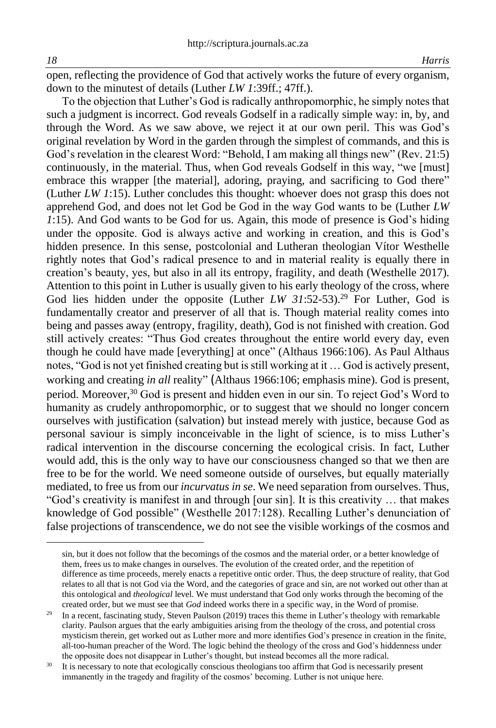open, reflecting the providence of God that actively works the future of every organism, down to the minutest of details (Luther *LW 1*:39ff.; 47ff.).

To the objection that Luther's God is radically anthropomorphic, he simply notes that such a judgment is incorrect. God reveals Godself in a radically simple way: in, by, and through the Word. As we saw above, we reject it at our own peril. This was God's original revelation by Word in the garden through the simplest of commands, and this is God's revelation in the clearest Word: "Behold, I am making all things new" (Rev. 21:5) continuously, in the material. Thus, when God reveals Godself in this way, "we [must] embrace this wrapper [the material], adoring, praying, and sacrificing to God there" (Luther *LW 1*:15). Luther concludes this thought: whoever does not grasp this does not apprehend God, and does not let God be God in the way God wants to be (Luther *LW 1*:15). And God wants to be God for us. Again, this mode of presence is God's hiding under the opposite. God is always active and working in creation, and this is God's hidden presence. In this sense, postcolonial and Lutheran theologian Vítor Westhelle rightly notes that God's radical presence to and in material reality is equally there in creation's beauty, yes, but also in all its entropy, fragility, and death (Westhelle 2017). Attention to this point in Luther is usually given to his early theology of the cross, where God lies hidden under the opposite (Luther *LW 31*:52-53). <sup>29</sup> For Luther, God is fundamentally creator and preserver of all that is. Though material reality comes into being and passes away (entropy, fragility, death), God is not finished with creation. God still actively creates: "Thus God creates throughout the entire world every day, even though he could have made [everything] at once" (Althaus 1966:106). As Paul Althaus notes, "God is not yet finished creating but is still working at it … God is actively present, working and creating *in all* reality" (Althaus 1966:106; emphasis mine). God is present, period. Moreover, <sup>30</sup> God is present and hidden even in our sin. To reject God's Word to humanity as crudely anthropomorphic, or to suggest that we should no longer concern ourselves with justification (salvation) but instead merely with justice, because God as personal saviour is simply inconceivable in the light of science, is to miss Luther's radical intervention in the discourse concerning the ecological crisis. In fact, Luther would add, this is the only way to have our consciousness changed so that we then are free to be for the world. We need someone outside of ourselves, but equally materially mediated, to free us from our *incurvatus in se*. We need separation from ourselves. Thus, "God's creativity is manifest in and through [our sin]. It is this creativity … that makes knowledge of God possible" (Westhelle 2017:128). Recalling Luther's denunciation of false projections of transcendence, we do not see the visible workings of the cosmos and

sin, but it does not follow that the becomings of the cosmos and the material order, or a better knowledge of them, frees us to make changes in ourselves. The evolution of the created order, and the repetition of difference as time proceeds, merely enacts a repetitive ontic order. Thus, the deep structure of reality, that God relates to all that is not God via the Word, and the categories of grace and sin, are not worked out other than at this ontological and *theological* level. We must understand that God only works through the becoming of the created order, but we must see that *God* indeed works there in a specific way, in the Word of promise.

<sup>&</sup>lt;sup>29</sup> In a recent, fascinating study, Steven Paulson (2019) traces this theme in Luther's theology with remarkable clarity. Paulson argues that the early ambiguities arising from the theology of the cross, and potential cross mysticism therein, get worked out as Luther more and more identifies God's presence in creation in the finite, all-too-human preacher of the Word. The logic behind the theology of the cross and God's hiddenness under the opposite does not disappear in Luther's thought, but instead becomes all the more radical.

<sup>&</sup>lt;sup>30</sup> It is necessary to note that ecologically conscious theologians too affirm that God is necessarily present immanently in the tragedy and fragility of the cosmos' becoming. Luther is not unique here.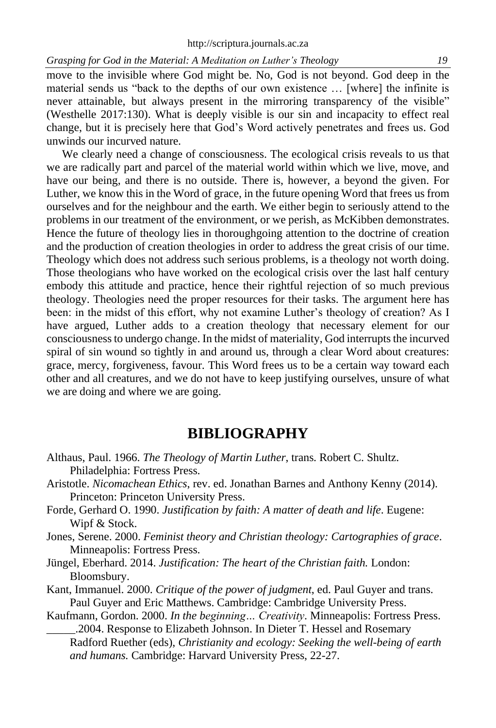move to the invisible where God might be. No, God is not beyond. God deep in the material sends us "back to the depths of our own existence … [where] the infinite is never attainable, but always present in the mirroring transparency of the visible" (Westhelle 2017:130). What is deeply visible is our sin and incapacity to effect real change, but it is precisely here that God's Word actively penetrates and frees us. God unwinds our incurved nature.

We clearly need a change of consciousness. The ecological crisis reveals to us that we are radically part and parcel of the material world within which we live, move, and have our being, and there is no outside. There is, however, a beyond the given. For Luther, we know this in the Word of grace, in the future opening Word that frees us from ourselves and for the neighbour and the earth. We either begin to seriously attend to the problems in our treatment of the environment, or we perish, as McKibben demonstrates. Hence the future of theology lies in thoroughgoing attention to the doctrine of creation and the production of creation theologies in order to address the great crisis of our time. Theology which does not address such serious problems, is a theology not worth doing. Those theologians who have worked on the ecological crisis over the last half century embody this attitude and practice, hence their rightful rejection of so much previous theology. Theologies need the proper resources for their tasks. The argument here has been: in the midst of this effort, why not examine Luther's theology of creation? As I have argued, Luther adds to a creation theology that necessary element for our consciousness to undergo change. In the midst of materiality, God interrupts the incurved spiral of sin wound so tightly in and around us, through a clear Word about creatures: grace, mercy, forgiveness, favour. This Word frees us to be a certain way toward each other and all creatures, and we do not have to keep justifying ourselves, unsure of what we are doing and where we are going.

# **BIBLIOGRAPHY**

- Althaus, Paul. 1966. *The Theology of Martin Luther*, trans. Robert C. Shultz. Philadelphia: Fortress Press.
- Aristotle. *Nicomachean Ethics*, rev. ed. Jonathan Barnes and Anthony Kenny (2014). Princeton: Princeton University Press.
- Forde, Gerhard O. 1990. *Justification by faith: A matter of death and life*. Eugene: Wipf & Stock.
- Jones, Serene. 2000. *Feminist theory and Christian theology: Cartographies of grace*. Minneapolis: Fortress Press.
- Jüngel, Eberhard. 2014. *Justification: The heart of the Christian faith.* London: Bloomsbury.
- Kant, Immanuel. 2000. *Critique of the power of judgment*, ed. Paul Guyer and trans. Paul Guyer and Eric Matthews. Cambridge: Cambridge University Press.
- Kaufmann, Gordon. 2000. *In the beginning… Creativity*. Minneapolis: Fortress Press. \_\_\_\_\_.2004. Response to Elizabeth Johnson. In Dieter T. Hessel and Rosemary

Radford Ruether (eds), *Christianity and ecology: Seeking the well-being of earth and humans.* Cambridge: Harvard University Press, 22-27.